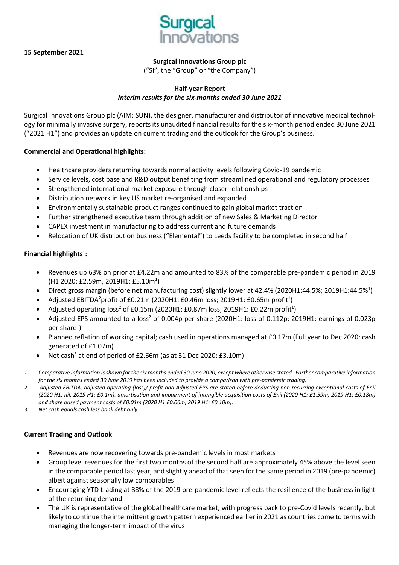



**Surgical Innovations Group plc**

("SI", the "Group" or "the Company")

## **Half-year Report** *Interim results for the six-months ended 30 June 2021*

Surgical Innovations Group plc (AIM: SUN), the designer, manufacturer and distributor of innovative medical technology for minimally invasive surgery, reports its unaudited financial results for the six-month period ended 30 June 2021 ("2021 H1") and provides an update on current trading and the outlook for the Group's business.

## **Commercial and Operational highlights:**

- Healthcare providers returning towards normal activity levels following Covid-19 pandemic
- Service levels, cost base and R&D output benefiting from streamlined operational and regulatory processes
- Strengthened international market exposure through closer relationships
- Distribution network in key US market re-organised and expanded
- Environmentally sustainable product ranges continued to gain global market traction
- Further strengthened executive team through addition of new Sales & Marketing Director
- CAPEX investment in manufacturing to address current and future demands
- Relocation of UK distribution business ("Elemental") to Leeds facility to be completed in second half

## **Financial highlights**<sup>1</sup> **:**

- Revenues up 63% on prior at £4.22m and amounted to 83% of the comparable pre-pandemic period in 2019 (H1 2020: £2.59m, 2019H1: £5.10m<sup>1</sup>)
- Direct gross margin (before net manufacturing cost) slightly lower at 42.4% (2020H1:44.5%; 2019H1:44.5%<sup>1</sup>)
- Adjusted EBITDA<sup>2</sup>profit of £0.21m (2020H1: £0.46m loss; 2019H1: £0.65m profit<sup>1</sup>)
- Adjusted operating loss<sup>2</sup> of £0.15m (2020H1: £0.87m loss; 2019H1: £0.22m profit<sup>1</sup>)
- Adjusted EPS amounted to a loss<sup>2</sup> of 0.004p per share (2020H1: loss of 0.112p; 2019H1: earnings of 0.023p per share<sup>1</sup>)
- Planned reflation of working capital; cash used in operations managed at £0.17m (Full year to Dec 2020: cash generated of £1.07m)
- Net cash<sup>3</sup> at end of period of £2.66m (as at 31 Dec 2020: £3.10m)
- 1 Comparative information is shown for the six months ended 30 June 2020, except where otherwise stated. Further comparative information for the six months ended 30 June 2019 has been included to provide a comparison with pre-pandemic trading.
- 2 Adjusted EBITDA, adjusted operating (loss)/ profit and Adjusted EPS are stated before deducting non-recurring exceptional costs of £nil (2020 H1: nil, 2019 H1: £0.1m), amortisation and impairment of intangible acquisition costs of £nil (2020 H1: £1.59m, 2019 H1: £0.18m) *and share based payment costs of £0.01m (2020 H1 £0.06m, 2019 H1: £0.10m).*
- *3 Net cash equals cash less bank debt only.*

## **Current Trading and Outlook**

- Revenues are now recovering towards pre-pandemic levels in most markets
- Group level revenues for the first two months of the second half are approximately 45% above the level seen in the comparable period last year, and slightly ahead of that seen for the same period in 2019 (pre-pandemic) albeit against seasonally low comparables
- Encouraging YTD trading at 88% of the 2019 pre-pandemic level reflects the resilience of the business in light of the returning demand
- The UK is representative of the global healthcare market, with progress back to pre-Covid levels recently, but likely to continue the intermittent growth pattern experienced earlier in 2021 as countries come to terms with managing the longer-term impact of the virus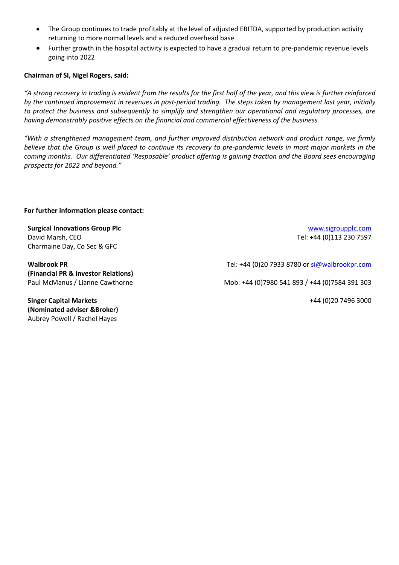- The Group continues to trade profitably at the level of adjusted EBITDA, supported by production activity returning to more normal levels and a reduced overhead base
- Further growth in the hospital activity is expected to have a gradual return to pre-pandemic revenue levels going into 2022

## **Chairman of SI, Nigel Rogers, said:**

"A strong recovery in trading is evident from the results for the first half of the year, and this view is further reinforced by the continued improvement in revenues in post-period trading. The steps taken by management last year, initially to protect the business and subsequently to simplify and strengthen our operational and regulatory processes, are *having demonstrably positive effects on the financial and commercial effectiveness of the business.*

*"With a strengthened management team, and further improved distribution network and product range, we firmly* believe that the Group is well placed to continue its recovery to pre-pandemic levels in most major markets in the *coming months. Our differentiated 'Resposable' product offering is gaining traction and the Board sees encouraging prospects for 2022 and beyond."*

## **For further information please contact:**

**Surgical Innovations Group Plc** [www.sigroupplc.com](http://www.sigroupplc.com/) David Marsh, CEO **Tel: +44 (0)113 230 7597** Charmaine Day, Co Sec & GFC

**Walbrook PR (Financial PR & Investor Relations)**

**Singer Capital Markets (Nominated adviser &Broker)**

Aubrey Powell / Rachel Hayes

Tel: +44 (0)20 7933 8780 or [si@walbrookpr.com](mailto:si@walbrookpr.com)

Paul McManus / Lianne Cawthorne **Mob: +44 (0)7980 541 893 / +44 (0)7584 391 303** 

+44 (0)20 7496 3000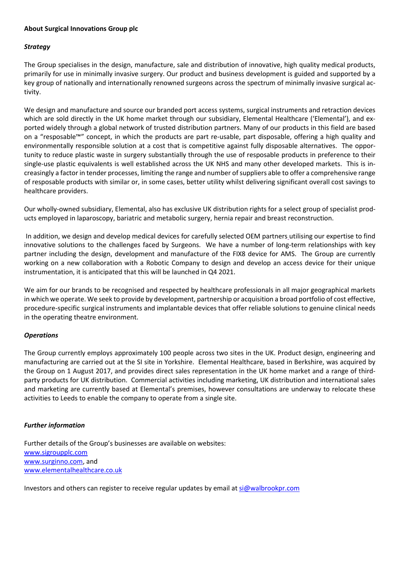## **About Surgical Innovations Group plc**

## *Strategy*

The Group specialises in the design, manufacture, sale and distribution of innovative, high quality medical products, primarily for use in minimally invasive surgery. Our product and business development is guided and supported by a key group of nationally and internationally renowned surgeons across the spectrum of minimally invasive surgical activity.

We design and manufacture and source our branded port access systems, surgical instruments and retraction devices which are sold directly in the UK home market through our subsidiary, Elemental Healthcare ('Elemental'), and exported widely through a global network of trusted distribution partners. Many of our products in this field are based on a "resposable™" concept, in which the products are part re-usable, part disposable, offering a high quality and environmentally responsible solution at a cost that is competitive against fully disposable alternatives. The opportunity to reduce plastic waste in surgery substantially through the use of resposable products in preference to their single-use plastic equivalents is well established across the UK NHS and many other developed markets. This is increasingly a factor in tender processes, limiting the range and number ofsuppliers able to offer a comprehensive range of resposable products with similar or, in some cases, better utility whilst delivering significant overall cost savings to healthcare providers.

Our wholly-owned subsidiary, Elemental, also has exclusive UK distribution rights for a select group of specialist products employed in laparoscopy, bariatric and metabolic surgery, hernia repair and breast reconstruction.

In addition, we design and develop medical devices for carefully selected OEM partners utilising our expertise to find innovative solutions to the challenges faced by Surgeons. We have a number of long-term relationships with key partner including the design, development and manufacture of the FIX8 device for AMS. The Group are currently working on a new collaboration with a Robotic Company to design and develop an access device for their unique instrumentation, it is anticipated that this will be launched in Q4 2021.

We aim for our brands to be recognised and respected by healthcare professionals in all major geographical markets in which we operate. We seek to provide by development, partnership or acquisition a broad portfolio of cost effective, procedure-specific surgical instruments and implantable devices that offer reliable solutions to genuine clinical needs in the operating theatre environment.

## *Operations*

The Group currently employs approximately 100 people across two sites in the UK. Product design, engineering and manufacturing are carried out at the SI site in Yorkshire. Elemental Healthcare, based in Berkshire, was acquired by the Group on 1 August 2017, and provides direct sales representation in the UK home market and a range of thirdparty products for UK distribution. Commercial activities including marketing, UK distribution and international sales and marketing are currently based at Elemental's premises, however consultations are underway to relocate these activities to Leeds to enable the company to operate from a single site.

## *Further information*

Further details of the Group's businesses are available on websites: [www.sigroupplc.com](http://www.sigroupplc.com/) [www.surginno.com,](http://www.surginno.com/) and [www.elementalhealthcare.co.uk](http://www.elementalhealthcare.co.uk/)

Investors and others can register to receive regular updates by email at [si@walbrookpr.com](mailto:si@walbrookpr.com)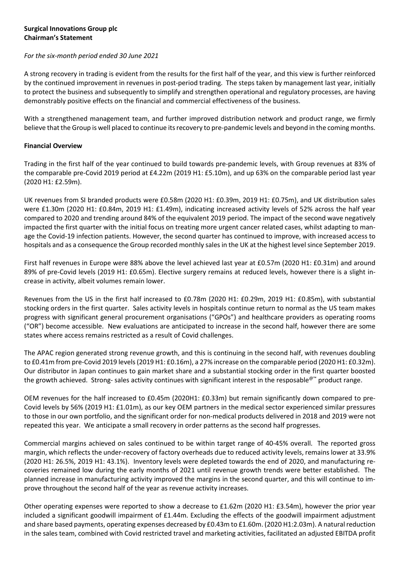## **Surgical Innovations Group plc Chairman's Statement**

## *For the six-month period ended 30 June 2021*

A strong recovery in trading is evident from the results for the first half of the year, and this view is further reinforced by the continued improvement in revenues in post-period trading. The steps taken by management last year, initially to protect the business and subsequently to simplify and strengthen operational and regulatory processes, are having demonstrably positive effects on the financial and commercial effectiveness of the business.

With a strengthened management team, and further improved distribution network and product range, we firmly believe that the Group is well placed to continue its recovery to pre-pandemic levels and beyond in the coming months.

## **Financial Overview**

Trading in the first half of the year continued to build towards pre-pandemic levels, with Group revenues at 83% of the comparable pre-Covid 2019 period at £4.22m (2019 H1: £5.10m), and up 63% on the comparable period last year (2020 H1: £2.59m).

UK revenues from SI branded products were £0.58m (2020 H1: £0.39m, 2019 H1: £0.75m), and UK distribution sales were £1.30m (2020 H1: £0.84m, 2019 H1: £1.49m), indicating increased activity levels of 52% across the half year compared to 2020 and trending around 84% of the equivalent 2019 period. The impact of the second wave negatively impacted the first quarter with the initial focus on treating more urgent cancer related cases, whilst adapting to manage the Covid-19 infection patients. However, the second quarter has continued to improve, with increased access to hospitals and as a consequence the Group recorded monthly sales in the UK at the highest level since September 2019.

First half revenues in Europe were 88% above the level achieved last year at £0.57m (2020 H1: £0.31m) and around 89% of pre-Covid levels (2019 H1: £0.65m). Elective surgery remains at reduced levels, however there is a slight increase in activity, albeit volumes remain lower.

Revenues from the US in the first half increased to £0.78m (2020 H1: £0.29m, 2019 H1: £0.85m), with substantial stocking orders in the first quarter. Sales activity levels in hospitals continue return to normal as the US team makes progress with significant general procurement organisations ("GPOs") and healthcare providers as operating rooms ("OR") become accessible. New evaluations are anticipated to increase in the second half, however there are some states where access remains restricted as a result of Covid challenges.

The APAC region generated strong revenue growth, and this is continuing in the second half, with revenues doubling to £0.41m from pre-Covid 2019 levels(2019 H1: £0.16m), a 27% increase on the comparable period (2020 H1: £0.32m). Our distributor in Japan continues to gain market share and a substantial stocking order in the first quarter boosted the growth achieved. Strong- sales activity continues with significant interest in the resposable<sup>@™</sup> product range.

OEM revenues for the half increased to £0.45m (2020H1: £0.33m) but remain significantly down compared to pre-Covid levels by 56% (2019 H1: £1.01m), as our key OEM partners in the medical sector experienced similar pressures to those in our own portfolio, and the significant order for non-medical products delivered in 2018 and 2019 were not repeated this year. We anticipate a small recovery in order patterns as the second half progresses.

Commercial margins achieved on sales continued to be within target range of 40-45% overall. The reported gross margin, which reflects the under-recovery of factory overheads due to reduced activity levels, remains lower at 33.9% (2020 H1: 26.5%, 2019 H1: 43.1%). Inventory levels were depleted towards the end of 2020, and manufacturing recoveries remained low during the early months of 2021 until revenue growth trends were better established. The planned increase in manufacturing activity improved the margins in the second quarter, and this will continue to improve throughout the second half of the year as revenue activity increases.

Other operating expenses were reported to show a decrease to £1.62m (2020 H1: £3.54m), however the prior year included a significant goodwill impairment of £1.44m. Excluding the effects of the goodwill impairment adjustment and share based payments, operating expenses decreased by £0.43m to £1.60m. (2020 H1:2.03m). A natural reduction in the sales team, combined with Covid restricted travel and marketing activities, facilitated an adjusted EBITDA profit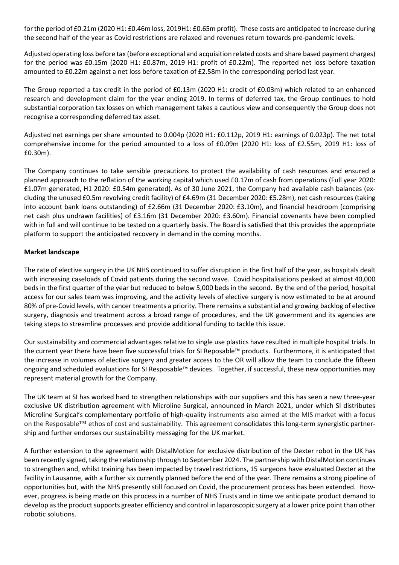forthe period of £0.21m (2020 H1: £0.46m loss, 2019H1: £0.65m profit). These costs are anticipated to increase during the second half of the year as Covid restrictions are relaxed and revenues return towards pre-pandemic levels.

Adjusted operating loss before tax (before exceptional and acquisition related costs and share based payment charges) for the period was £0.15m (2020 H1: £0.87m, 2019 H1: profit of £0.22m). The reported net loss before taxation amounted to £0.22m against a net loss before taxation of £2.58m in the corresponding period last year.

The Group reported a tax credit in the period of £0.13m (2020 H1: credit of £0.03m) which related to an enhanced research and development claim for the year ending 2019. In terms of deferred tax, the Group continues to hold substantial corporation tax losses on which management takes a cautious view and consequently the Group does not recognise a corresponding deferred tax asset.

Adjusted net earnings per share amounted to 0.004p (2020 H1: £0.112p, 2019 H1: earnings of 0.023p). The net total comprehensive income for the period amounted to a loss of £0.09m (2020 H1: loss of £2.55m, 2019 H1: loss of £0.30m).

The Company continues to take sensible precautions to protect the availability of cash resources and ensured a planned approach to the reflation of the working capital which used £0.17m of cash from operations (Full year 2020: £1.07m generated, H1 2020: £0.54m generated). As of 30 June 2021, the Company had available cash balances (excluding the unused £0.5m revolving credit facility) of £4.69m (31 December 2020: £5.28m), net cash resources (taking into account bank loans outstanding) of £2.66m (31 December 2020: £3.10m), and financial headroom (comprising net cash plus undrawn facilities) of £3.16m (31 December 2020: £3.60m). Financial covenants have been complied with in full and will continue to be tested on a quarterly basis. The Board is satisfied that this provides the appropriate platform to support the anticipated recovery in demand in the coming months.

## **Market landscape**

The rate of elective surgery in the UK NHS continued to suffer disruption in the first half of the year, as hospitals dealt with increasing caseloads of Covid patients during the second wave. Covid hospitalisations peaked at almost 40,000 beds in the first quarter of the year but reduced to below 5,000 beds in the second. By the end of the period, hospital access for our sales team was improving, and the activity levels of elective surgery is now estimated to be at around 80% of pre-Covid levels, with cancer treatments a priority. There remains a substantial and growing backlog of elective surgery, diagnosis and treatment across a broad range of procedures, and the UK government and its agencies are taking steps to streamline processes and provide additional funding to tackle this issue.

Our sustainability and commercial advantages relative to single use plastics have resulted in multiple hospital trials. In the current year there have been five successful trials for SI Reposable™ products. Furthermore, it is anticipated that the increase in volumes of elective surgery and greater access to the OR will allow the team to conclude the fifteen ongoing and scheduled evaluations for SI Resposable™ devices. Together, if successful, these new opportunities may represent material growth for the Company.

The UK team at SI has worked hard to strengthen relationships with our suppliers and this has seen a new three-year exclusive UK distribution agreement with Microline Surgical, announced in March 2021, under which SI distributes Microline Surgical's complementary portfolio of high-quality instruments also aimed at the MIS market with a focus on the Resposable™ ethos of cost and sustainability. This agreement consolidates this long-term synergistic partnership and further endorses our sustainability messaging for the UK market.

A further extension to the agreement with DistalMotion for exclusive distribution of the Dexter robot in the UK has been recently signed, taking the relationship through to September 2024. The partnership with DistalMotion continues to strengthen and, whilst training has been impacted by travel restrictions, 15 surgeons have evaluated Dexter at the facility in Lausanne, with a further six currently planned before the end of the year. There remains a strong pipeline of opportunities but, with the NHS presently still focused on Covid, the procurement process has been extended. However, progress is being made on this process in a number of NHS Trusts and in time we anticipate product demand to develop as the product supports greater efficiency and control in laparoscopic surgery at a lower price point than other robotic solutions.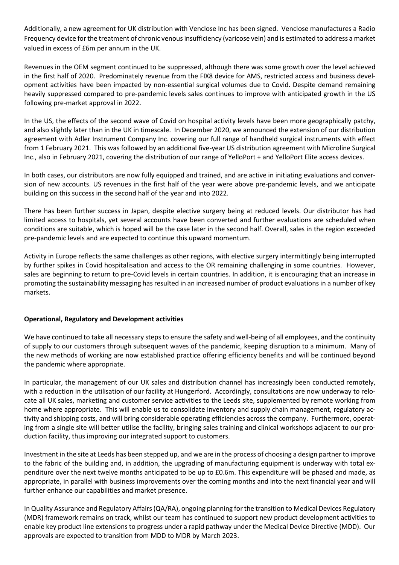Additionally, a new agreement for UK distribution with Venclose Inc has been signed. Venclose manufactures a Radio Frequency device forthe treatment of chronic venousinsufficiency (varicose vein) and is estimated to address a market valued in excess of £6m per annum in the UK.

Revenues in the OEM segment continued to be suppressed, although there was some growth over the level achieved in the first half of 2020. Predominately revenue from the FIX8 device for AMS, restricted access and business development activities have been impacted by non-essential surgical volumes due to Covid. Despite demand remaining heavily suppressed compared to pre-pandemic levels sales continues to improve with anticipated growth in the US following pre-market approval in 2022.

In the US, the effects of the second wave of Covid on hospital activity levels have been more geographically patchy, and also slightly later than in the UK in timescale. In December 2020, we announced the extension of our distribution agreement with Adler Instrument Company Inc. covering our full range of handheld surgical instruments with effect from 1 February 2021. This was followed by an additional five-year US distribution agreement with Microline Surgical Inc., also in February 2021, covering the distribution of our range of YelloPort + and YelloPort Elite access devices.

In both cases, our distributors are now fully equipped and trained, and are active in initiating evaluations and conversion of new accounts. US revenues in the first half of the year were above pre-pandemic levels, and we anticipate building on this success in the second half of the year and into 2022.

There has been further success in Japan, despite elective surgery being at reduced levels. Our distributor has had limited access to hospitals, yet several accounts have been converted and further evaluations are scheduled when conditions are suitable, which is hoped will be the case later in the second half. Overall, sales in the region exceeded pre-pandemic levels and are expected to continue this upward momentum.

Activity in Europe reflects the same challenges as other regions, with elective surgery intermittingly being interrupted by further spikes in Covid hospitalisation and access to the OR remaining challenging in some countries. However, sales are beginning to return to pre-Covid levels in certain countries. In addition, it is encouraging that an increase in promoting the sustainability messaging has resulted in an increased number of product evaluations in a number of key markets.

## **Operational, Regulatory and Development activities**

We have continued to take all necessary steps to ensure the safety and well-being of all employees, and the continuity of supply to our customers through subsequent waves of the pandemic, keeping disruption to a minimum. Many of the new methods of working are now established practice offering efficiency benefits and will be continued beyond the pandemic where appropriate.

In particular, the management of our UK sales and distribution channel has increasingly been conducted remotely, with a reduction in the utilisation of our facility at Hungerford. Accordingly, consultations are now underway to relocate all UK sales, marketing and customer service activities to the Leeds site, supplemented by remote working from home where appropriate. This will enable us to consolidate inventory and supply chain management, regulatory activity and shipping costs, and will bring considerable operating efficiencies across the company. Furthermore, operating from a single site will better utilise the facility, bringing sales training and clinical workshops adjacent to our production facility, thus improving our integrated support to customers.

Investment in the site at Leeds has been stepped up, and we are in the process of choosing a design partner to improve to the fabric of the building and, in addition, the upgrading of manufacturing equipment is underway with total expenditure over the next twelve months anticipated to be up to £0.6m. This expenditure will be phased and made, as appropriate, in parallel with business improvements over the coming months and into the next financial year and will further enhance our capabilities and market presence.

In Quality Assurance and Regulatory Affairs(QA/RA), ongoing planning forthe transition to Medical Devices Regulatory (MDR) framework remains on track, whilst our team has continued to support new product development activities to enable key product line extensions to progress under a rapid pathway under the Medical Device Directive (MDD). Our approvals are expected to transition from MDD to MDR by March 2023.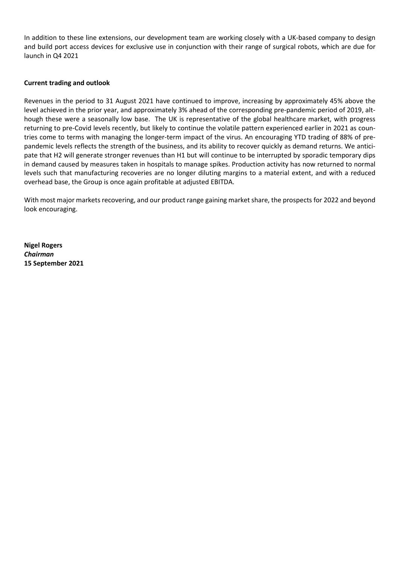In addition to these line extensions, our development team are working closely with a UK-based company to design and build port access devices for exclusive use in conjunction with their range of surgical robots, which are due for launch in Q4 2021

## **Current trading and outlook**

Revenues in the period to 31 August 2021 have continued to improve, increasing by approximately 45% above the level achieved in the prior year, and approximately 3% ahead of the corresponding pre-pandemic period of 2019, although these were a seasonally low base. The UK is representative of the global healthcare market, with progress returning to pre-Covid levels recently, but likely to continue the volatile pattern experienced earlier in 2021 as countries come to terms with managing the longer-term impact of the virus. An encouraging YTD trading of 88% of prepandemic levels reflects the strength of the business, and its ability to recover quickly as demand returns. We anticipate that H2 will generate stronger revenues than H1 but will continue to be interrupted by sporadic temporary dips in demand caused by measures taken in hospitals to manage spikes. Production activity has now returned to normal levels such that manufacturing recoveries are no longer diluting margins to a material extent, and with a reduced overhead base, the Group is once again profitable at adjusted EBITDA.

With most major markets recovering, and our product range gaining market share, the prospects for 2022 and beyond look encouraging.

**Nigel Rogers** *Chairman* **15 September 2021**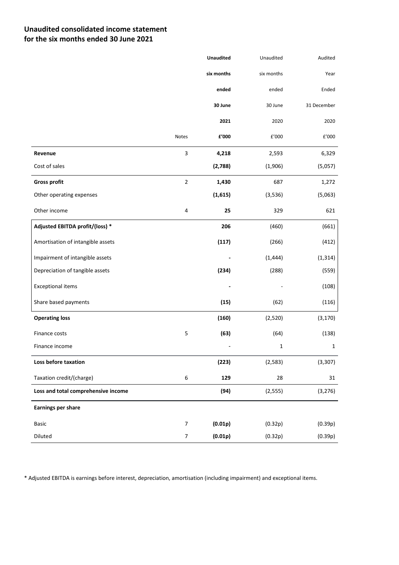# **Unaudited consolidated income statement for the six months ended 30 June 2021**

|                                     |                  | <b>Unaudited</b> | Unaudited  | Audited      |
|-------------------------------------|------------------|------------------|------------|--------------|
|                                     |                  | six months       | six months | Year         |
|                                     |                  | ended            | ended      | Ended        |
|                                     |                  | 30 June          | 30 June    | 31 December  |
|                                     |                  | 2021             | 2020       | 2020         |
|                                     | Notes            | £'000            | £'000      | E'000        |
| Revenue                             | $\mathsf 3$      | 4,218            | 2,593      | 6,329        |
| Cost of sales                       |                  | (2,788)          | (1,906)    | (5,057)      |
| <b>Gross profit</b>                 | $\mathbf 2$      | 1,430            | 687        | 1,272        |
| Other operating expenses            |                  | (1,615)          | (3,536)    | (5,063)      |
| Other income                        | 4                | 25               | 329        | 621          |
| Adjusted EBITDA profit/(loss) *     |                  | 206              | (460)      | (661)        |
| Amortisation of intangible assets   |                  | (117)            | (266)      | (412)        |
| Impairment of intangible assets     |                  |                  | (1, 444)   | (1, 314)     |
| Depreciation of tangible assets     |                  | (234)            | (288)      | (559)        |
| <b>Exceptional items</b>            |                  |                  |            | (108)        |
| Share based payments                |                  | (15)             | (62)       | (116)        |
| <b>Operating loss</b>               |                  | (160)            | (2,520)    | (3, 170)     |
| Finance costs                       | 5                | (63)             | (64)       | (138)        |
| Finance income                      |                  |                  | 1          | $\mathbf{1}$ |
| Loss before taxation                |                  | (223)            | (2, 583)   | (3, 307)     |
| Taxation credit/(charge)            | 6                | 129              | 28         | 31           |
| Loss and total comprehensive income |                  | (94)             | (2, 555)   | (3, 276)     |
| <b>Earnings per share</b>           |                  |                  |            |              |
| Basic                               | $\boldsymbol{7}$ | (0.01p)          | (0.32p)    | (0.39p)      |
| Diluted                             | $\boldsymbol{7}$ | (0.01p)          | (0.32p)    | (0.39p)      |

\* Adjusted EBITDA is earnings before interest, depreciation, amortisation (including impairment) and exceptional items.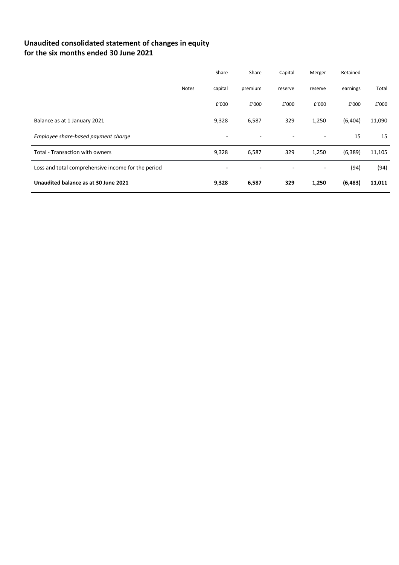# **Unaudited consolidated statement of changes in equity for the six months ended 30 June 2021**

|                                                    |              | Share                    | Share   | Capital                  | Merger  | Retained |        |
|----------------------------------------------------|--------------|--------------------------|---------|--------------------------|---------|----------|--------|
|                                                    | <b>Notes</b> | capital                  | premium | reserve                  | reserve | earnings | Total  |
|                                                    |              | £'000                    | £'000   | £'000                    | £'000   | £'000    | £'000  |
| Balance as at 1 January 2021                       |              | 9,328                    | 6,587   | 329                      | 1,250   | (6,404)  | 11,090 |
| Employee share-based payment charge                |              | ٠                        | ٠       | $\overline{\phantom{a}}$ | ۰       | 15       | 15     |
| Total - Transaction with owners                    |              | 9,328                    | 6,587   | 329                      | 1,250   | (6, 389) | 11,105 |
| Loss and total comprehensive income for the period |              | $\overline{\phantom{a}}$ |         | -                        |         | (94)     | (94)   |
| Unaudited balance as at 30 June 2021               |              | 9,328                    | 6,587   | 329                      | 1,250   | (6, 483) | 11,011 |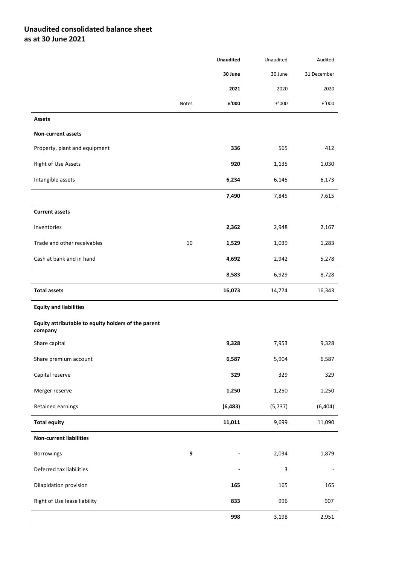# **Unaudited consolidated balance sheet as at 30 June 2021**

|                                                                |       | <b>Unaudited</b> | Unaudited | Audited                  |
|----------------------------------------------------------------|-------|------------------|-----------|--------------------------|
|                                                                |       | 30 June          | 30 June   | 31 December              |
|                                                                |       | 2021             | 2020      | 2020                     |
|                                                                | Notes | £'000            | £'000     | £'000                    |
| <b>Assets</b>                                                  |       |                  |           |                          |
| <b>Non-current assets</b>                                      |       |                  |           |                          |
| Property, plant and equipment                                  |       | 336              | 565       | 412                      |
| Right of Use Assets                                            |       | 920              | 1,135     | 1,030                    |
| Intangible assets                                              |       | 6,234            | 6,145     | 6,173                    |
|                                                                |       | 7,490            | 7,845     | 7,615                    |
| <b>Current assets</b>                                          |       |                  |           |                          |
| Inventories                                                    |       | 2,362            | 2,948     | 2,167                    |
| Trade and other receivables                                    | 10    | 1,529            | 1,039     | 1,283                    |
| Cash at bank and in hand                                       |       | 4,692            | 2,942     | 5,278                    |
|                                                                |       | 8,583            | 6,929     | 8,728                    |
| <b>Total assets</b>                                            |       | 16,073           | 14,774    | 16,343                   |
| <b>Equity and liabilities</b>                                  |       |                  |           |                          |
| Equity attributable to equity holders of the parent<br>company |       |                  |           |                          |
| Share capital                                                  |       | 9,328            | 7,953     | 9,328                    |
| Share premium account                                          |       | 6,587            | 5,904     | 6,587                    |
| Capital reserve                                                |       | 329              | 329       | 329                      |
| Merger reserve                                                 |       | 1,250            | 1,250     | 1,250                    |
| Retained earnings                                              |       | (6, 483)         | (5, 737)  | (6, 404)                 |
| <b>Total equity</b>                                            |       | 11,011           | 9,699     | 11,090                   |
| <b>Non-current liabilities</b>                                 |       |                  |           |                          |
| Borrowings                                                     | 9     |                  | 2,034     | 1,879                    |
| Deferred tax liabilities                                       |       |                  | з         | $\overline{\phantom{a}}$ |
| Dilapidation provision                                         |       | 165              | 165       | 165                      |
| Right of Use lease liability                                   |       | 833              | 996       | 907                      |
|                                                                |       | 998              | 3,198     | 2,951                    |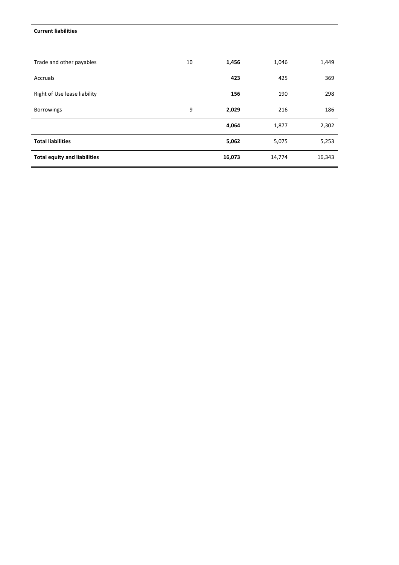#### **Current liabilities**

| Trade and other payables            | 10 | 1,456  | 1,046  | 1,449  |
|-------------------------------------|----|--------|--------|--------|
| Accruals                            |    | 423    | 425    | 369    |
| Right of Use lease liability        |    | 156    | 190    | 298    |
| <b>Borrowings</b>                   | 9  | 2,029  | 216    | 186    |
|                                     |    | 4,064  | 1,877  | 2,302  |
| <b>Total liabilities</b>            |    | 5,062  | 5,075  | 5,253  |
| <b>Total equity and liabilities</b> |    | 16,073 | 14,774 | 16,343 |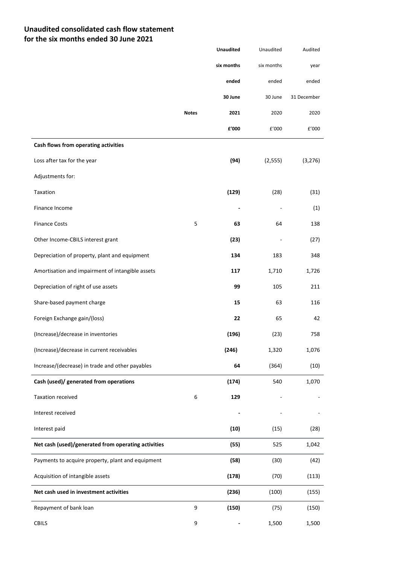## **Unaudited consolidated cash flow statement for the six months ended 30 June 2021**

|                                                     |              | <b>Unaudited</b>         | Unaudited  | Audited     |
|-----------------------------------------------------|--------------|--------------------------|------------|-------------|
|                                                     |              | six months               | six months | year        |
|                                                     |              | ended                    | ended      | ended       |
|                                                     |              | 30 June                  | 30 June    | 31 December |
|                                                     | <b>Notes</b> | 2021                     | 2020       | 2020        |
|                                                     |              | £'000                    | £'000      | £'000       |
| Cash flows from operating activities                |              |                          |            |             |
| Loss after tax for the year                         |              | (94)                     | (2, 555)   | (3, 276)    |
| Adjustments for:                                    |              |                          |            |             |
| Taxation                                            |              | (129)                    | (28)       | (31)        |
| Finance Income                                      |              | $\overline{\phantom{a}}$ |            | (1)         |
| <b>Finance Costs</b>                                | 5            | 63                       | 64         | 138         |
| Other Income-CBILS interest grant                   |              | (23)                     |            | (27)        |
| Depreciation of property, plant and equipment       |              | 134                      | 183        | 348         |
| Amortisation and impairment of intangible assets    |              | 117                      | 1,710      | 1,726       |
| Depreciation of right of use assets                 |              | 99                       | 105        | 211         |
| Share-based payment charge                          |              | 15                       | 63         | 116         |
| Foreign Exchange gain/(loss)                        |              | 22                       | 65         | 42          |
| (Increase)/decrease in inventories                  |              | (196)                    | (23)       | 758         |
| (Increase)/decrease in current receivables          |              | (246)                    | 1,320      | 1,076       |
| Increase/(decrease) in trade and other payables     |              | 64                       | (364)      | (10)        |
| Cash (used)/ generated from operations              |              | (174)                    | 540        | 1,070       |
| Taxation received                                   | 6            | 129                      |            |             |
| Interest received                                   |              |                          |            |             |
| Interest paid                                       |              | (10)                     | (15)       | (28)        |
| Net cash (used)/generated from operating activities |              | (55)                     | 525        | 1,042       |
| Payments to acquire property, plant and equipment   |              | (58)                     | (30)       | (42)        |
| Acquisition of intangible assets                    |              | (178)                    | (70)       | (113)       |
| Net cash used in investment activities              |              | (236)                    | (100)      | (155)       |
| Repayment of bank loan                              | 9            | (150)                    | (75)       | (150)       |
| CBILS                                               | 9            |                          | 1,500      | 1,500       |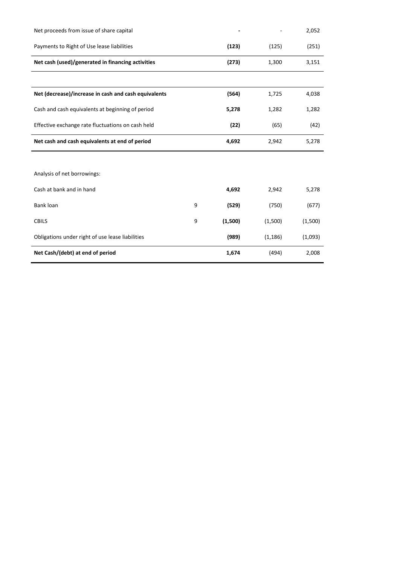| Net proceeds from issue of share capital             |   |         |          | 2,052   |
|------------------------------------------------------|---|---------|----------|---------|
| Payments to Right of Use lease liabilities           |   | (123)   | (125)    | (251)   |
| Net cash (used)/generated in financing activities    |   | (273)   | 1,300    | 3,151   |
|                                                      |   |         |          |         |
| Net (decrease)/increase in cash and cash equivalents |   | (564)   | 1,725    | 4,038   |
| Cash and cash equivalents at beginning of period     |   | 5,278   | 1,282    | 1,282   |
| Effective exchange rate fluctuations on cash held    |   | (22)    | (65)     | (42)    |
| Net cash and cash equivalents at end of period       |   | 4,692   | 2,942    | 5,278   |
|                                                      |   |         |          |         |
| Analysis of net borrowings:                          |   |         |          |         |
| Cash at bank and in hand                             |   | 4,692   | 2,942    | 5,278   |
| Bank loan                                            | 9 | (529)   | (750)    | (677)   |
| <b>CBILS</b>                                         | 9 | (1,500) | (1,500)  | (1,500) |
| Obligations under right of use lease liabilities     |   | (989)   | (1, 186) | (1,093) |
| Net Cash/(debt) at end of period                     |   | 1,674   | (494)    | 2,008   |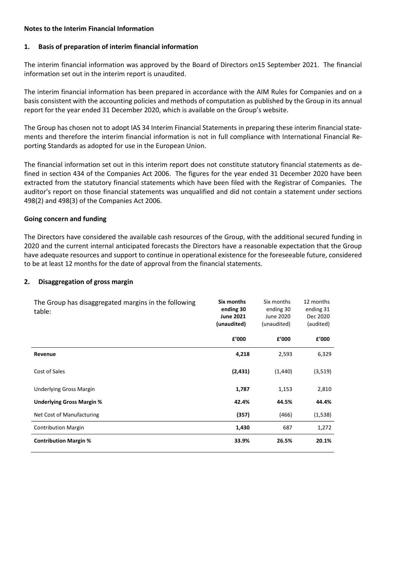## **Notes to the Interim Financial Information**

## **1. Basis of preparation of interim financial information**

The interim financial information was approved by the Board of Directors on15 September 2021. The financial information set out in the interim report is unaudited.

The interim financial information has been prepared in accordance with the AIM Rules for Companies and on a basis consistent with the accounting policies and methods of computation as published by the Group in its annual report for the year ended 31 December 2020, which is available on the Group's website.

The Group has chosen not to adopt IAS 34 Interim Financial Statements in preparing these interim financial statements and therefore the interim financial information is not in full compliance with International Financial Reporting Standards as adopted for use in the European Union.

The financial information set out in this interim report does not constitute statutory financial statements as defined in section 434 of the Companies Act 2006. The figures for the year ended 31 December 2020 have been extracted from the statutory financial statements which have been filed with the Registrar of Companies. The auditor's report on those financial statements was unqualified and did not contain a statement under sections 498(2) and 498(3) of the Companies Act 2006.

## **Going concern and funding**

The Directors have considered the available cash resources of the Group, with the additional secured funding in 2020 and the current internal anticipated forecasts the Directors have a reasonable expectation that the Group have adequate resources and support to continue in operational existence for the foreseeable future, considered to be at least 12 months for the date of approval from the financial statements.

## **2. Disaggregation of gross margin**

| The Group has disaggregated margins in the following<br>table: | Six months<br>ending 30<br><b>June 2021</b><br>(unaudited) | Six months<br>ending 30<br>June 2020<br>(unaudited) | 12 months<br>ending 31<br>Dec 2020<br>(audited) |
|----------------------------------------------------------------|------------------------------------------------------------|-----------------------------------------------------|-------------------------------------------------|
|                                                                | £'000                                                      | f'000                                               | £'000                                           |
| Revenue                                                        | 4,218                                                      | 2,593                                               | 6,329                                           |
| Cost of Sales                                                  | (2, 431)                                                   | (1, 440)                                            | (3,519)                                         |
| <b>Underlying Gross Margin</b>                                 | 1,787                                                      | 1,153                                               | 2,810                                           |
| <b>Underlying Gross Margin %</b>                               | 42.4%                                                      | 44.5%                                               | 44.4%                                           |
| Net Cost of Manufacturing                                      | (357)                                                      | (466)                                               | (1,538)                                         |
| <b>Contribution Margin</b>                                     | 1,430                                                      | 687                                                 | 1,272                                           |
| <b>Contribution Margin %</b>                                   | 33.9%                                                      | 26.5%                                               | 20.1%                                           |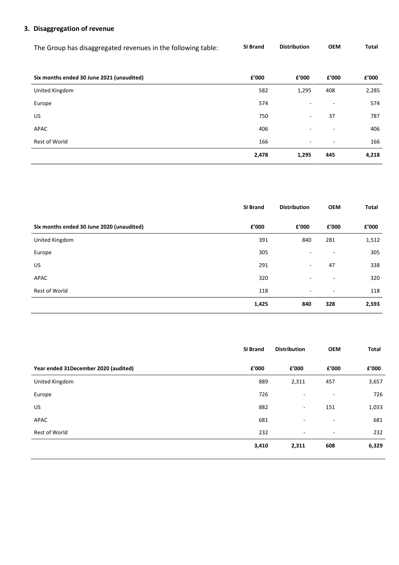# **3. Disaggregation of revenue**

The Group has disaggregated revenues in the following table: **SI Brand Distribution OEM Total**

| Six months ended 30 June 2021 (unaudited) | £'000 | £'000                    | £'000                    | £'000 |
|-------------------------------------------|-------|--------------------------|--------------------------|-------|
| United Kingdom                            | 582   | 1,295                    | 408                      | 2,285 |
| Europe                                    | 574   | $\overline{\phantom{a}}$ | $\sim$                   | 574   |
| <b>US</b>                                 | 750   | $\sim$                   | 37                       | 787   |
| APAC                                      | 406   | $\overline{\phantom{a}}$ | $\overline{\phantom{a}}$ | 406   |
| Rest of World                             | 166   | $\sim$                   | $\sim$                   | 166   |
|                                           | 2,478 | 1,295                    | 445                      | 4,218 |

|                                           | <b>SI Brand</b> | <b>Distribution</b>      | <b>OEM</b> | Total |
|-------------------------------------------|-----------------|--------------------------|------------|-------|
| Six months ended 30 June 2020 (unaudited) | £'000           | f'000                    | f'000      | £'000 |
| United Kingdom                            | 391             | 840                      | 281        | 1,512 |
| Europe                                    | 305             | $\overline{\phantom{0}}$ | ۰          | 305   |
| US.                                       | 291             | $\overline{\phantom{a}}$ | 47         | 338   |
| APAC                                      | 320             | $\overline{\phantom{0}}$ | ۰          | 320   |
| Rest of World                             | 118             | $\overline{\phantom{a}}$ | ٠          | 118   |
|                                           | 1,425           | 840                      | 328        | 2,593 |

|                                      | SI Brand | <b>Distribution</b>      | <b>OEM</b> | <b>Total</b> |
|--------------------------------------|----------|--------------------------|------------|--------------|
| Year ended 31December 2020 (audited) | £'000    | £'000                    | £'000      | £'000        |
| United Kingdom                       | 889      | 2,311                    | 457        | 3,657        |
| Europe                               | 726      | $\overline{\phantom{a}}$ | ٠          | 726          |
| <b>US</b>                            | 882      | $\overline{\phantom{a}}$ | 151        | 1,033        |
| APAC                                 | 681      | $\blacksquare$           | ٠          | 681          |
| Rest of World                        | 232      | $\overline{\phantom{a}}$ | $\sim$     | 232          |
|                                      | 3,410    | 2,311                    | 608        | 6,329        |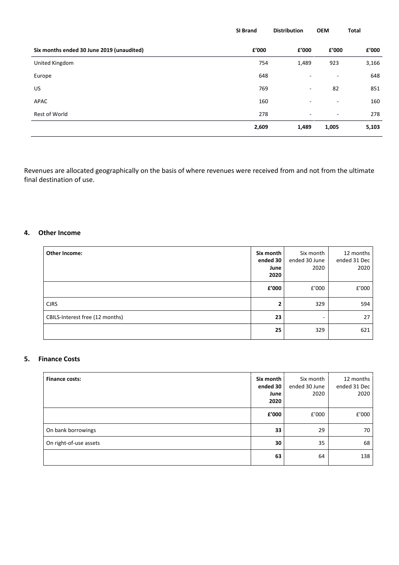|                                           | SI Brand | <b>Distribution</b>      | <b>OEM</b>               | Total |
|-------------------------------------------|----------|--------------------------|--------------------------|-------|
| Six months ended 30 June 2019 (unaudited) | £'000    | £'000                    | f'000                    | £'000 |
| United Kingdom                            | 754      | 1,489                    | 923                      | 3,166 |
| Europe                                    | 648      | $\overline{\phantom{a}}$ | $\overline{\phantom{a}}$ | 648   |
| US                                        | 769      | $\sim$                   | 82                       | 851   |
| APAC                                      | 160      | $\overline{\phantom{a}}$ | $\overline{\phantom{a}}$ | 160   |
| Rest of World                             | 278      | $\sim$                   | $\overline{\phantom{a}}$ | 278   |
|                                           | 2,609    | 1,489                    | 1,005                    | 5,103 |

Revenues are allocated geographically on the basis of where revenues were received from and not from the ultimate final destination of use.

## **4. Other Income**

| Other Income:                   | Six month<br>ended 30<br>June<br>2020 | Six month<br>ended 30 June<br>2020 | 12 months<br>ended 31 Dec<br>2020 |
|---------------------------------|---------------------------------------|------------------------------------|-----------------------------------|
|                                 | f'000                                 | £'000                              | £'000                             |
| <b>CJRS</b>                     | 2                                     | 329                                | 594                               |
| CBILS-Interest free (12 months) | 23                                    |                                    | 27                                |
|                                 | 25                                    | 329                                | 621                               |

## **5. Finance Costs**

| <b>Finance costs:</b>  | Six month<br>ended 30<br>June<br>2020 | Six month<br>ended 30 June<br>2020 | 12 months<br>ended 31 Dec<br>2020 |
|------------------------|---------------------------------------|------------------------------------|-----------------------------------|
|                        | £'000                                 | f'000                              | £'000                             |
| On bank borrowings     | 33                                    | 29                                 | 70                                |
| On right-of-use assets | 30                                    | 35                                 | 68                                |
|                        | 63                                    | 64                                 | 138                               |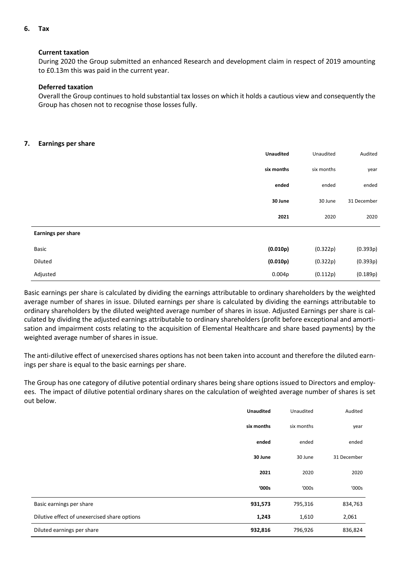**6. Tax**

#### **Current taxation**

During 2020 the Group submitted an enhanced Research and development claim in respect of 2019 amounting to £0.13m this was paid in the current year.

## **Deferred taxation**

Overall the Group continues to hold substantial tax losses on which it holds a cautious view and consequently the Group has chosen not to recognise those losses fully.

#### **7. Earnings per share**

|                           | <b>Unaudited</b> | Unaudited  | Audited     |
|---------------------------|------------------|------------|-------------|
|                           | six months       | six months | year        |
|                           | ended            | ended      | ended       |
|                           | 30 June          | 30 June    | 31 December |
|                           | 2021             | 2020       | 2020        |
| <b>Earnings per share</b> |                  |            |             |
| Basic                     | (0.010p)         | (0.322p)   | (0.393p)    |
| Diluted                   | (0.010p)         | (0.322p)   | (0.393p)    |
| Adjusted                  | 0.004p           | (0.112p)   | (0.189p)    |

Basic earnings per share is calculated by dividing the earnings attributable to ordinary shareholders by the weighted average number of shares in issue. Diluted earnings per share is calculated by dividing the earnings attributable to ordinary shareholders by the diluted weighted average number of shares in issue. Adjusted Earnings per share is calculated by dividing the adjusted earnings attributable to ordinary shareholders (profit before exceptional and amortisation and impairment costs relating to the acquisition of Elemental Healthcare and share based payments) by the weighted average number of shares in issue.

The anti-dilutive effect of unexercised shares options has not been taken into account and therefore the diluted earnings per share is equal to the basic earnings per share.

The Group has one category of dilutive potential ordinary shares being share options issued to Directors and employees. The impact of dilutive potential ordinary shares on the calculation of weighted average number of shares is set out below.

|                                              | <b>Unaudited</b> | Unaudited  | Audited     |
|----------------------------------------------|------------------|------------|-------------|
|                                              | six months       | six months | year        |
|                                              | ended            | ended      | ended       |
|                                              | 30 June          | 30 June    | 31 December |
|                                              | 2021             | 2020       | 2020        |
|                                              | '000s            | '000s      | '000s       |
| Basic earnings per share                     | 931,573          | 795,316    | 834,763     |
| Dilutive effect of unexercised share options | 1,243            | 1,610      | 2,061       |
| Diluted earnings per share                   | 932,816          | 796,926    | 836,824     |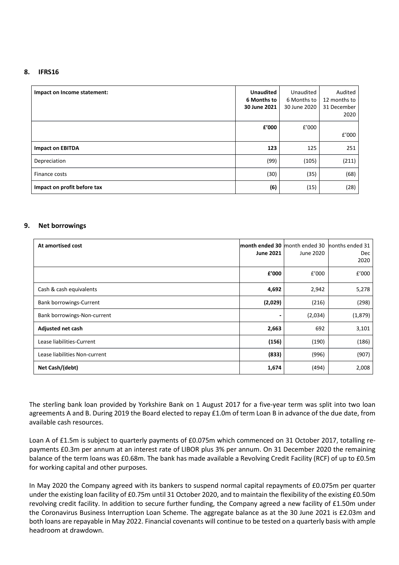#### **8. IFRS16**

| Impact on Income statement: | <b>Unaudited</b><br>6 Months to<br>30 June 2021 | Unaudited<br>6 Months to<br>30 June 2020 | Audited<br>12 months to<br>31 December<br>2020 |
|-----------------------------|-------------------------------------------------|------------------------------------------|------------------------------------------------|
|                             | £'000                                           | £'000                                    | f'000                                          |
| <b>Impact on EBITDA</b>     | 123                                             | 125                                      | 251                                            |
| Depreciation                | (99)                                            | (105)                                    | (211)                                          |
| Finance costs               | (30)                                            | (35)                                     | (68)                                           |
| Impact on profit before tax | (6)                                             | (15)                                     | (28)                                           |

#### **9. Net borrowings**

| At amortised cost              | <b>June 2021</b> | <b>month ended 30</b> month ended 30 months ended 31<br>June 2020 | Dec<br>2020 |
|--------------------------------|------------------|-------------------------------------------------------------------|-------------|
|                                | f'000            | £'000                                                             | £'000       |
| Cash & cash equivalents        | 4,692            | 2,942                                                             | 5,278       |
| <b>Bank borrowings-Current</b> | (2,029)          | (216)                                                             | (298)       |
| Bank borrowings-Non-current    | $\blacksquare$   | (2,034)                                                           | (1,879)     |
| Adjusted net cash              | 2,663            | 692                                                               | 3,101       |
| Lease liabilities-Current      | (156)            | (190)                                                             | (186)       |
| Lease liabilities Non-current  | (833)            | (996)                                                             | (907)       |
| Net Cash/(debt)                | 1,674            | (494)                                                             | 2,008       |

The sterling bank loan provided by Yorkshire Bank on 1 August 2017 for a five-year term was split into two loan agreements A and B. During 2019 the Board elected to repay £1.0m of term Loan B in advance of the due date, from available cash resources.

Loan A of £1.5m is subject to quarterly payments of £0.075m which commenced on 31 October 2017, totalling repayments £0.3m per annum at an interest rate of LIBOR plus 3% per annum. On 31 December 2020 the remaining balance of the term loans was £0.68m. The bank has made available a Revolving Credit Facility (RCF) of up to £0.5m for working capital and other purposes.

In May 2020 the Company agreed with its bankers to suspend normal capital repayments of £0.075m per quarter under the existing loan facility of £0.75m until 31 October 2020, and to maintain the flexibility of the existing £0.50m revolving credit facility. In addition to secure further funding, the Company agreed a new facility of £1.50m under the Coronavirus Business Interruption Loan Scheme. The aggregate balance as at the 30 June 2021 is £2.03m and both loans are repayable in May 2022. Financial covenants will continue to be tested on a quarterly basis with ample headroom at drawdown.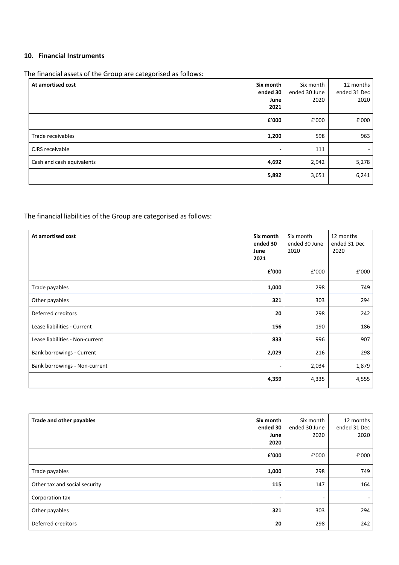## **10. Financial Instruments**

The financial assets of the Group are categorised as follows:

| At amortised cost         | Six month<br>ended 30<br>June<br>2021 | Six month<br>ended 30 June<br>2020 | 12 months<br>ended 31 Dec<br>2020 |
|---------------------------|---------------------------------------|------------------------------------|-----------------------------------|
|                           | f'000                                 | f'000                              | f'000                             |
| Trade receivables         | 1,200                                 | 598                                | 963                               |
| CJRS receivable           |                                       | 111                                | ٠                                 |
| Cash and cash equivalents | 4,692                                 | 2,942                              | 5,278                             |
|                           | 5,892                                 | 3,651                              | 6,241                             |

The financial liabilities of the Group are categorised as follows:

| At amortised cost               | Six month<br>ended 30<br>June<br>2021 | Six month<br>ended 30 June<br>2020 | 12 months<br>ended 31 Dec<br>2020 |
|---------------------------------|---------------------------------------|------------------------------------|-----------------------------------|
|                                 | f'000                                 | £'000                              | £'000                             |
| Trade payables                  | 1,000                                 | 298                                | 749                               |
| Other payables                  | 321                                   | 303                                | 294                               |
| Deferred creditors              | 20                                    | 298                                | 242                               |
| Lease liabilities - Current     | 156                                   | 190                                | 186                               |
| Lease liabilities - Non-current | 833                                   | 996                                | 907                               |
| Bank borrowings - Current       | 2,029                                 | 216                                | 298                               |
| Bank borrowings - Non-current   | $\overline{\phantom{0}}$              | 2,034                              | 1,879                             |
|                                 | 4,359                                 | 4,335                              | 4,555                             |

| Trade and other payables      | Six month<br>ended 30<br>June<br>2020 | Six month<br>ended 30 June<br>2020 | 12 months<br>ended 31 Dec<br>2020 |
|-------------------------------|---------------------------------------|------------------------------------|-----------------------------------|
|                               | £'000                                 | £'000                              | £'000                             |
| Trade payables                | 1,000                                 | 298                                | 749                               |
| Other tax and social security | 115                                   | 147                                | 164                               |
| Corporation tax               |                                       | ۰                                  |                                   |
| Other payables                | 321                                   | 303                                | 294                               |
| Deferred creditors            | 20                                    | 298                                | 242                               |